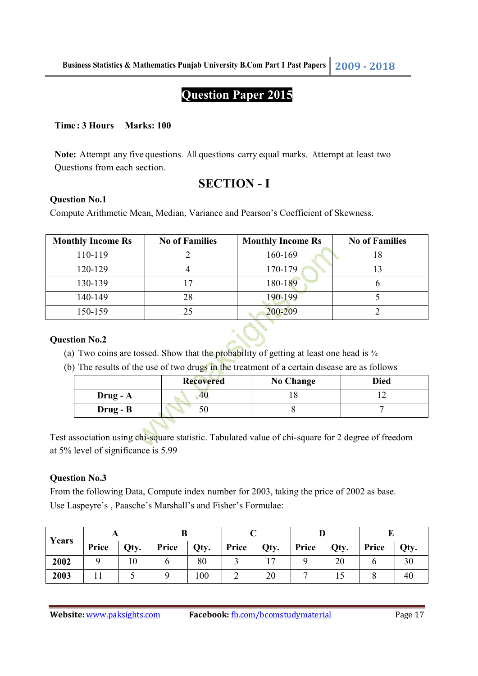# **Question Paper 2015**

#### **Time : 3 Hours Marks: 100**

**Note:** Attempt any five questions. All questions carry equal marks. Attempt at least two Questions from each section.

# **SECTION - I**

#### **Question No.1**

Compute Arithmetic Mean, Median, Variance and Pearson's Coefficient of Skewness.

| <b>Monthly Income Rs</b> | <b>No of Families</b> | <b>Monthly Income Rs</b> | <b>No of Families</b> |
|--------------------------|-----------------------|--------------------------|-----------------------|
| 110-119                  |                       | 160-169                  |                       |
| 120-129                  |                       | 170-179                  |                       |
| 130-139                  |                       | 180-189                  |                       |
| 140-149                  | 28                    | 190-199                  |                       |
| 150-159                  | 75                    | 200-209                  |                       |

#### **Question No.2**

- (a) Two coins are tossed. Show that the probability of getting at least one head is  $\frac{3}{4}$
- (b) The results of the use of two drugs in the treatment of a certain disease are as follows

|            | <b>Recovered</b> | <b>No Change</b> | <b>Died</b> |
|------------|------------------|------------------|-------------|
| $Drug - A$ | $40^{\circ}$     |                  |             |
| $Drug - B$ |                  |                  |             |

Test association using chi-square statistic. Tabulated value of chi-square for 2 degree of freedom at 5% level of significance is 5.99

# **Question No.3**

From the following Data, Compute index number for 2003, taking the price of 2002 as base. Use Laspeyre's , Paasche's Marshall's and Fisher's Formulae:

| Years |       |      |       |      |       |      |       |      |       |                |
|-------|-------|------|-------|------|-------|------|-------|------|-------|----------------|
|       | Price | Qty. | Price | Qty. | Price | Qty. | Price | Qty. | Price | Qty.           |
| 2002  |       | ιv   |       | 80   |       |      |       | 20   |       | 3 <sub>0</sub> |
| 2003  |       |      |       | 100  |       | 20   |       |      |       | 40             |